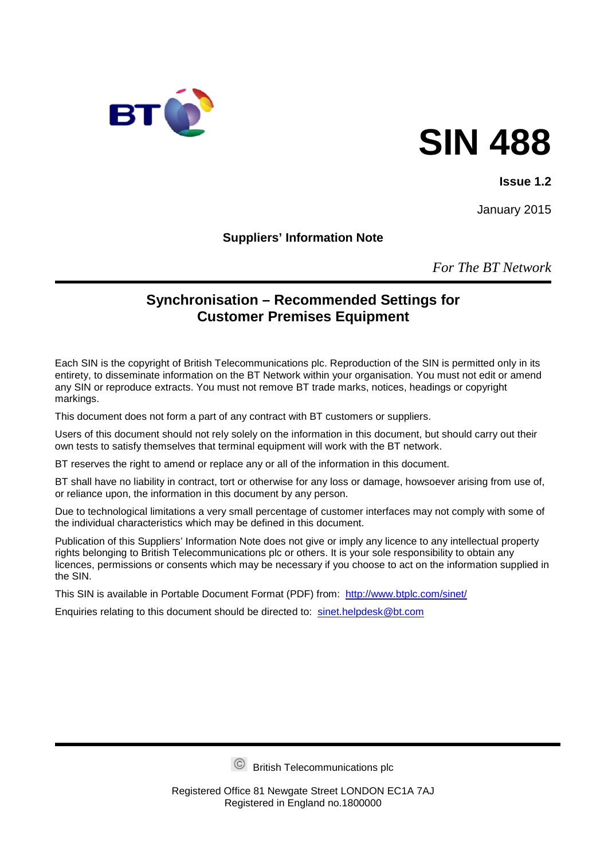

# **SIN 488**

#### **Issue 1.2**

January 2015

**Suppliers' Information Note**

*For The BT Network*

## **Synchronisation – Recommended Settings for Customer Premises Equipment**

Each SIN is the copyright of British Telecommunications plc. Reproduction of the SIN is permitted only in its entirety, to disseminate information on the BT Network within your organisation. You must not edit or amend any SIN or reproduce extracts. You must not remove BT trade marks, notices, headings or copyright markings.

This document does not form a part of any contract with BT customers or suppliers.

Users of this document should not rely solely on the information in this document, but should carry out their own tests to satisfy themselves that terminal equipment will work with the BT network.

BT reserves the right to amend or replace any or all of the information in this document.

BT shall have no liability in contract, tort or otherwise for any loss or damage, howsoever arising from use of, or reliance upon, the information in this document by any person.

Due to technological limitations a very small percentage of customer interfaces may not comply with some of the individual characteristics which may be defined in this document.

Publication of this Suppliers' Information Note does not give or imply any licence to any intellectual property rights belonging to British Telecommunications plc or others. It is your sole responsibility to obtain any licences, permissions or consents which may be necessary if you choose to act on the information supplied in the SIN.

This SIN is available in Portable Document Format (PDF) from: <http://www.btplc.com/sinet/>

Enquiries relating to this document should be directed to: [sinet.helpdesk@bt.com](mailto:sinet.helpdesk@bt.com)

British Telecommunications plc

Registered Office 81 Newgate Street LONDON EC1A 7AJ Registered in England no.1800000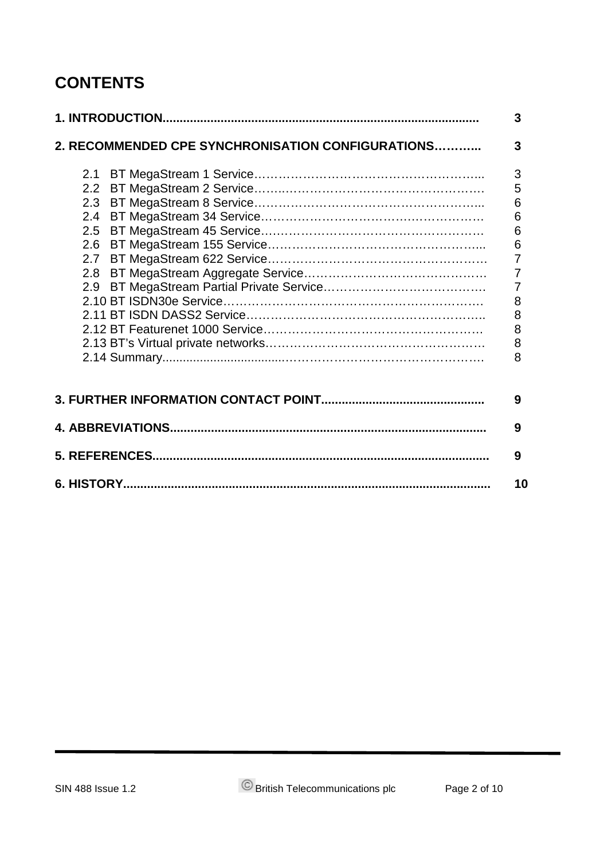# **CONTENTS**

| 2. RECOMMENDED CPE SYNCHRONISATION CONFIGURATIONS | 3               |  |
|---------------------------------------------------|-----------------|--|
| 2.1                                               | 3               |  |
|                                                   | 5               |  |
| 2.3                                               | 6               |  |
| 2.4                                               | 6               |  |
| 2.5                                               | $6\phantom{1}6$ |  |
|                                                   | 6               |  |
|                                                   | $\overline{7}$  |  |
|                                                   | $\overline{7}$  |  |
| 2.9                                               | $\overline{7}$  |  |
|                                                   | 8               |  |
|                                                   | 8               |  |
|                                                   | 8               |  |
|                                                   | 8               |  |
|                                                   | 8               |  |
|                                                   | 9               |  |
|                                                   |                 |  |
|                                                   | 9               |  |
|                                                   | 9               |  |
|                                                   | 10              |  |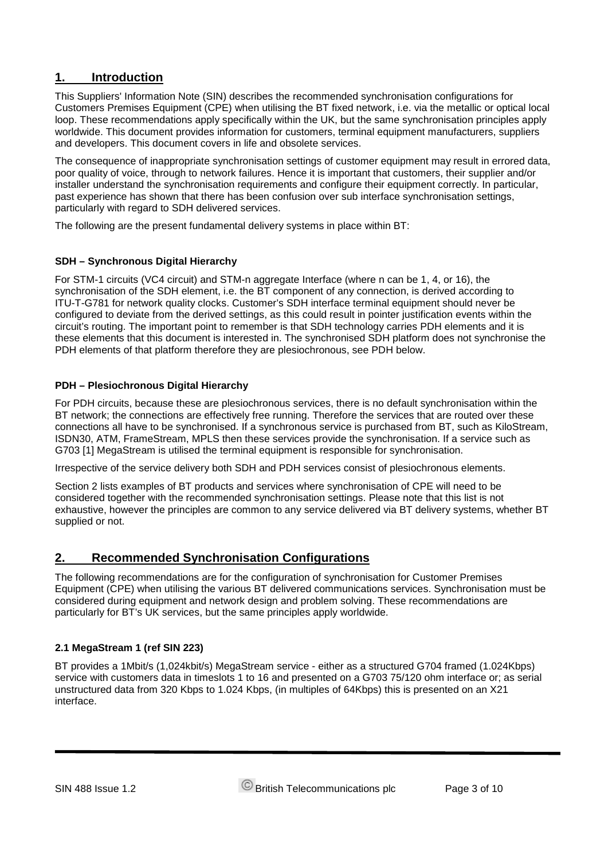### **1. Introduction**

This Suppliers' Information Note (SIN) describes the recommended synchronisation configurations for Customers Premises Equipment (CPE) when utilising the BT fixed network, i.e. via the metallic or optical local loop. These recommendations apply specifically within the UK, but the same synchronisation principles apply worldwide. This document provides information for customers, terminal equipment manufacturers, suppliers and developers. This document covers in life and obsolete services.

The consequence of inappropriate synchronisation settings of customer equipment may result in errored data, poor quality of voice, through to network failures. Hence it is important that customers, their supplier and/or installer understand the synchronisation requirements and configure their equipment correctly. In particular, past experience has shown that there has been confusion over sub interface synchronisation settings, particularly with regard to SDH delivered services.

The following are the present fundamental delivery systems in place within BT:

#### **SDH – Synchronous Digital Hierarchy**

For STM-1 circuits (VC4 circuit) and STM-n aggregate Interface (where n can be 1, 4, or 16), the synchronisation of the SDH element, i.e. the BT component of any connection, is derived according to ITU-T-G781 for network quality clocks. Customer's SDH interface terminal equipment should never be configured to deviate from the derived settings, as this could result in pointer justification events within the circuit's routing. The important point to remember is that SDH technology carries PDH elements and it is these elements that this document is interested in. The synchronised SDH platform does not synchronise the PDH elements of that platform therefore they are plesiochronous, see PDH below.

#### **PDH – Plesiochronous Digital Hierarchy**

For PDH circuits, because these are plesiochronous services, there is no default synchronisation within the BT network; the connections are effectively free running. Therefore the services that are routed over these connections all have to be synchronised. If a synchronous service is purchased from BT, such as KiloStream, ISDN30, ATM, FrameStream, MPLS then these services provide the synchronisation. If a service such as G703 [1] MegaStream is utilised the terminal equipment is responsible for synchronisation.

Irrespective of the service delivery both SDH and PDH services consist of plesiochronous elements.

Section 2 lists examples of BT products and services where synchronisation of CPE will need to be considered together with the recommended synchronisation settings. Please note that this list is not exhaustive, however the principles are common to any service delivered via BT delivery systems, whether BT supplied or not.

#### **2. Recommended Synchronisation Configurations**

The following recommendations are for the configuration of synchronisation for Customer Premises Equipment (CPE) when utilising the various BT delivered communications services. Synchronisation must be considered during equipment and network design and problem solving. These recommendations are particularly for BT's UK services, but the same principles apply worldwide.

#### **2.1 MegaStream 1 (ref SIN 223)**

BT provides a 1Mbit/s (1,024kbit/s) MegaStream service - either as a structured G704 framed (1.024Kbps) service with customers data in timeslots 1 to 16 and presented on a G703 75/120 ohm interface or; as serial unstructured data from 320 Kbps to 1.024 Kbps, (in multiples of 64Kbps) this is presented on an X21 interface.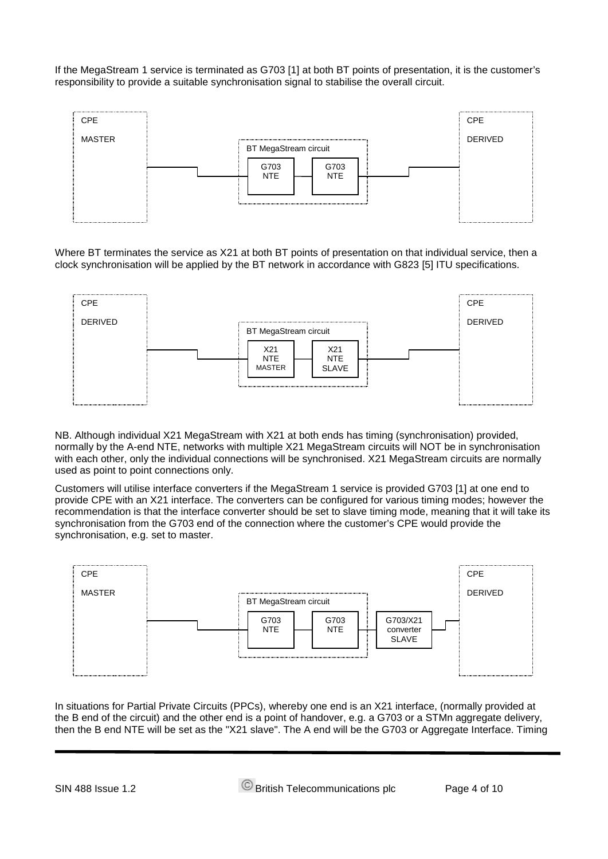If the MegaStream 1 service is terminated as G703 [1] at both BT points of presentation, it is the customer's responsibility to provide a suitable synchronisation signal to stabilise the overall circuit.



Where BT terminates the service as X21 at both BT points of presentation on that individual service, then a clock synchronisation will be applied by the BT network in accordance with G823 [5] ITU specifications.



NB. Although individual X21 MegaStream with X21 at both ends has timing (synchronisation) provided, normally by the A-end NTE, networks with multiple X21 MegaStream circuits will NOT be in synchronisation with each other, only the individual connections will be synchronised. X21 MegaStream circuits are normally used as point to point connections only.

Customers will utilise interface converters if the MegaStream 1 service is provided G703 [1] at one end to provide CPE with an X21 interface. The converters can be configured for various timing modes; however the recommendation is that the interface converter should be set to slave timing mode, meaning that it will take its synchronisation from the G703 end of the connection where the customer's CPE would provide the synchronisation, e.g. set to master.



In situations for Partial Private Circuits (PPCs), whereby one end is an X21 interface, (normally provided at the B end of the circuit) and the other end is a point of handover, e.g. a G703 or a STMn aggregate delivery, then the B end NTE will be set as the "X21 slave". The A end will be the G703 or Aggregate Interface. Timing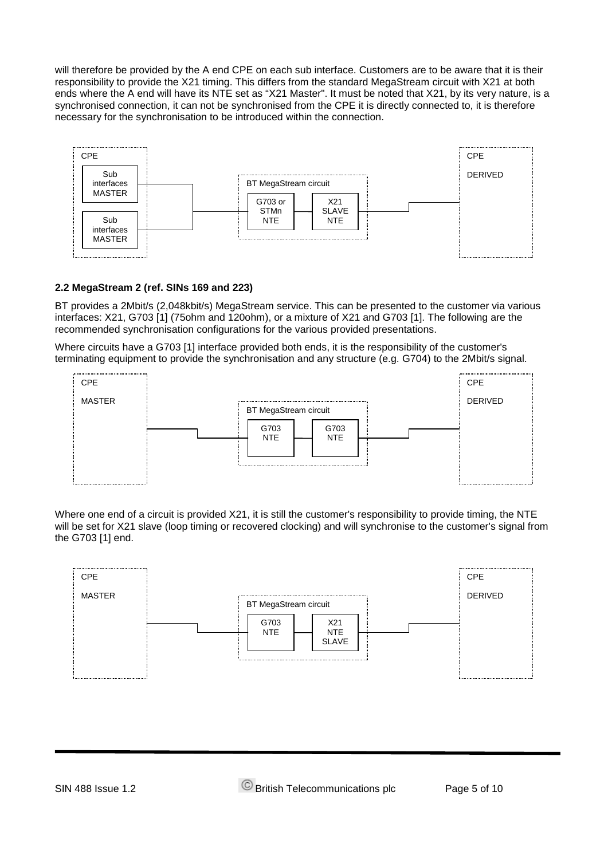will therefore be provided by the A end CPE on each sub interface. Customers are to be aware that it is their responsibility to provide the X21 timing. This differs from the standard MegaStream circuit with X21 at both ends where the A end will have its NTE set as "X21 Master". It must be noted that X21, by its very nature, is a synchronised connection, it can not be synchronised from the CPE it is directly connected to, it is therefore necessary for the synchronisation to be introduced within the connection.



#### **2.2 MegaStream 2 (ref. SINs 169 and 223)**

BT provides a 2Mbit/s (2,048kbit/s) MegaStream service. This can be presented to the customer via various interfaces: X21, G703 [1] (75ohm and 120ohm), or a mixture of X21 and G703 [1]. The following are the recommended synchronisation configurations for the various provided presentations.

Where circuits have a G703 [1] interface provided both ends, it is the responsibility of the customer's terminating equipment to provide the synchronisation and any structure (e.g. G704) to the 2Mbit/s signal.



Where one end of a circuit is provided X21, it is still the customer's responsibility to provide timing, the NTE will be set for X21 slave (loop timing or recovered clocking) and will synchronise to the customer's signal from the G703 [1] end.

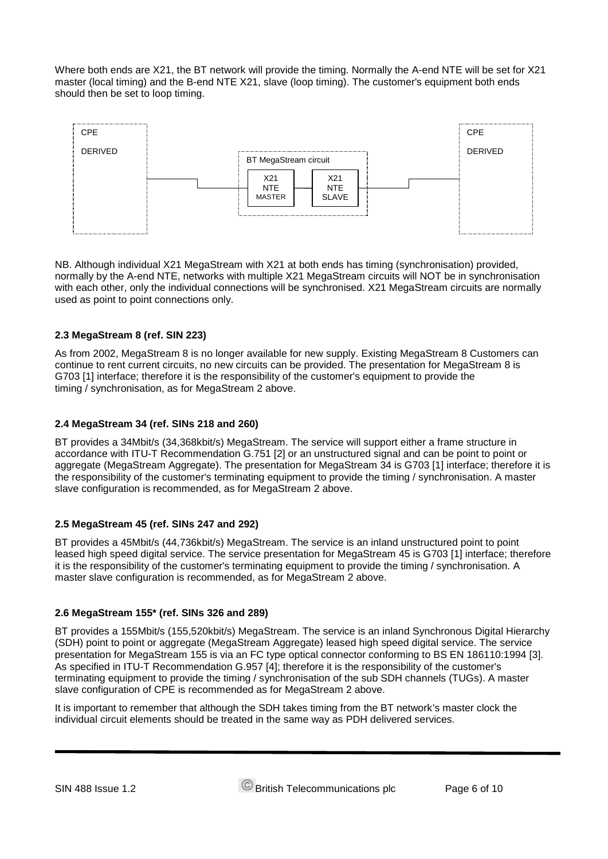Where both ends are X21, the BT network will provide the timing. Normally the A-end NTE will be set for X21 master (local timing) and the B-end NTE X21, slave (loop timing). The customer's equipment both ends should then be set to loop timing.



NB. Although individual X21 MegaStream with X21 at both ends has timing (synchronisation) provided, normally by the A-end NTE, networks with multiple X21 MegaStream circuits will NOT be in synchronisation with each other, only the individual connections will be synchronised. X21 MegaStream circuits are normally used as point to point connections only.

#### **2.3 MegaStream 8 (ref. SIN 223)**

As from 2002, MegaStream 8 is no longer available for new supply. Existing MegaStream 8 Customers can continue to rent current circuits, no new circuits can be provided. The presentation for MegaStream 8 is G703 [1] interface; therefore it is the responsibility of the customer's equipment to provide the timing / synchronisation, as for MegaStream 2 above.

#### **2.4 MegaStream 34 (ref. SINs 218 and 260)**

BT provides a 34Mbit/s (34,368kbit/s) MegaStream. The service will support either a frame structure in accordance with ITU-T Recommendation G.751 [2] or an unstructured signal and can be point to point or aggregate (MegaStream Aggregate). The presentation for MegaStream 34 is G703 [1] interface; therefore it is the responsibility of the customer's terminating equipment to provide the timing / synchronisation. A master slave configuration is recommended, as for MegaStream 2 above.

#### **2.5 MegaStream 45 (ref. SINs 247 and 292)**

BT provides a 45Mbit/s (44,736kbit/s) MegaStream. The service is an inland unstructured point to point leased high speed digital service. The service presentation for MegaStream 45 is G703 [1] interface; therefore it is the responsibility of the customer's terminating equipment to provide the timing / synchronisation. A master slave configuration is recommended, as for MegaStream 2 above.

#### **2.6 MegaStream 155\* (ref. SINs 326 and 289)**

BT provides a 155Mbit/s (155,520kbit/s) MegaStream. The service is an inland Synchronous Digital Hierarchy (SDH) point to point or aggregate (MegaStream Aggregate) leased high speed digital service. The service presentation for MegaStream 155 is via an FC type optical connector conforming to BS EN 186110:1994 [3]. As specified in ITU-T Recommendation G.957 [4]; therefore it is the responsibility of the customer's terminating equipment to provide the timing / synchronisation of the sub SDH channels (TUGs). A master slave configuration of CPE is recommended as for MegaStream 2 above.

It is important to remember that although the SDH takes timing from the BT network's master clock the individual circuit elements should be treated in the same way as PDH delivered services.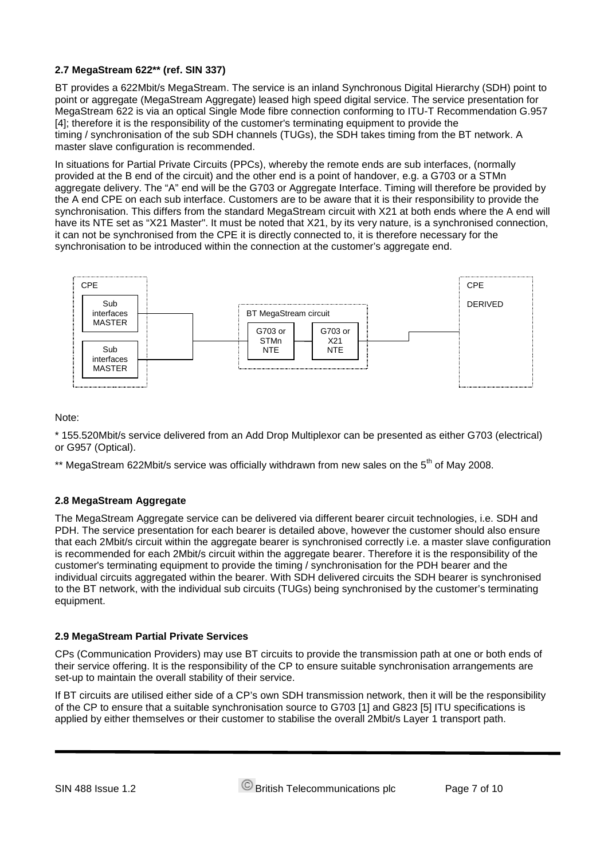#### **2.7 MegaStream 622\*\* (ref. SIN 337)**

BT provides a 622Mbit/s MegaStream. The service is an inland Synchronous Digital Hierarchy (SDH) point to point or aggregate (MegaStream Aggregate) leased high speed digital service. The service presentation for MegaStream 622 is via an optical Single Mode fibre connection conforming to ITU-T Recommendation G.957 [4]; therefore it is the responsibility of the customer's terminating equipment to provide the timing / synchronisation of the sub SDH channels (TUGs), the SDH takes timing from the BT network. A master slave configuration is recommended.

In situations for Partial Private Circuits (PPCs), whereby the remote ends are sub interfaces, (normally provided at the B end of the circuit) and the other end is a point of handover, e.g. a G703 or a STMn aggregate delivery. The "A" end will be the G703 or Aggregate Interface. Timing will therefore be provided by the A end CPE on each sub interface. Customers are to be aware that it is their responsibility to provide the synchronisation. This differs from the standard MegaStream circuit with X21 at both ends where the A end will have its NTE set as "X21 Master". It must be noted that X21, by its very nature, is a synchronised connection, it can not be synchronised from the CPE it is directly connected to, it is therefore necessary for the synchronisation to be introduced within the connection at the customer's aggregate end.



#### Note:

\* 155.520Mbit/s service delivered from an Add Drop Multiplexor can be presented as either G703 (electrical) or G957 (Optical).

\*\* MegaStream 622Mbit/s service was officially withdrawn from new sales on the 5<sup>th</sup> of Mav 2008.

#### **2.8 MegaStream Aggregate**

The MegaStream Aggregate service can be delivered via different bearer circuit technologies, i.e. SDH and PDH. The service presentation for each bearer is detailed above, however the customer should also ensure that each 2Mbit/s circuit within the aggregate bearer is synchronised correctly i.e. a master slave configuration is recommended for each 2Mbit/s circuit within the aggregate bearer. Therefore it is the responsibility of the customer's terminating equipment to provide the timing / synchronisation for the PDH bearer and the individual circuits aggregated within the bearer. With SDH delivered circuits the SDH bearer is synchronised to the BT network, with the individual sub circuits (TUGs) being synchronised by the customer's terminating equipment.

#### **2.9 MegaStream Partial Private Services**

CPs (Communication Providers) may use BT circuits to provide the transmission path at one or both ends of their service offering. It is the responsibility of the CP to ensure suitable synchronisation arrangements are set-up to maintain the overall stability of their service.

If BT circuits are utilised either side of a CP's own SDH transmission network, then it will be the responsibility of the CP to ensure that a suitable synchronisation source to G703 [1] and G823 [5] ITU specifications is applied by either themselves or their customer to stabilise the overall 2Mbit/s Layer 1 transport path.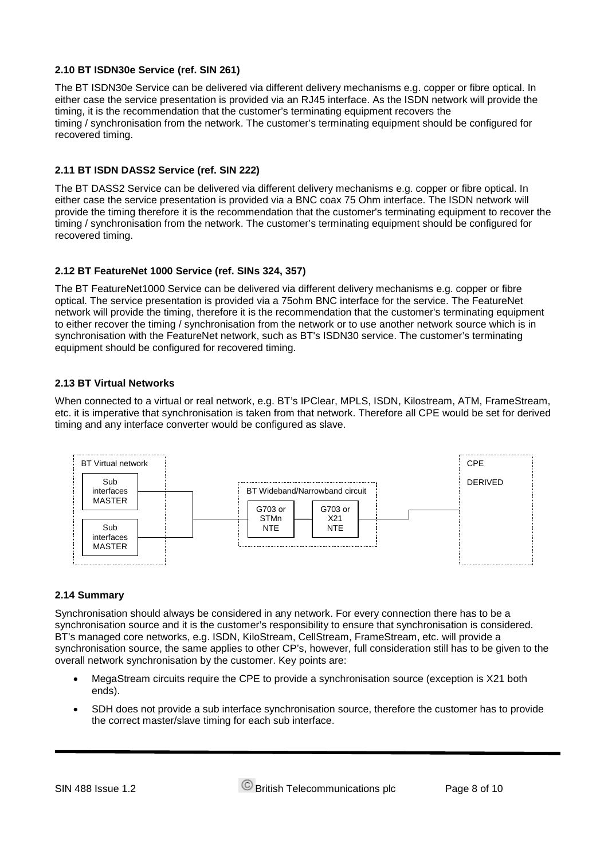#### **2.10 BT ISDN30e Service (ref. SIN 261)**

The BT ISDN30e Service can be delivered via different delivery mechanisms e.g. copper or fibre optical. In either case the service presentation is provided via an RJ45 interface. As the ISDN network will provide the timing, it is the recommendation that the customer's terminating equipment recovers the timing / synchronisation from the network. The customer's terminating equipment should be configured for recovered timing.

#### **2.11 BT ISDN DASS2 Service (ref. SIN 222)**

The BT DASS2 Service can be delivered via different delivery mechanisms e.g. copper or fibre optical. In either case the service presentation is provided via a BNC coax 75 Ohm interface. The ISDN network will provide the timing therefore it is the recommendation that the customer's terminating equipment to recover the timing / synchronisation from the network. The customer's terminating equipment should be configured for recovered timing.

#### **2.12 BT FeatureNet 1000 Service (ref. SINs 324, 357)**

The BT FeatureNet1000 Service can be delivered via different delivery mechanisms e.g. copper or fibre optical. The service presentation is provided via a 75ohm BNC interface for the service. The FeatureNet network will provide the timing, therefore it is the recommendation that the customer's terminating equipment to either recover the timing / synchronisation from the network or to use another network source which is in synchronisation with the FeatureNet network, such as BT's ISDN30 service. The customer's terminating equipment should be configured for recovered timing.

#### **2.13 BT Virtual Networks**

When connected to a virtual or real network, e.g. BT's IPClear, MPLS, ISDN, Kilostream, ATM, FrameStream, etc. it is imperative that synchronisation is taken from that network. Therefore all CPE would be set for derived timing and any interface converter would be configured as slave.



#### **2.14 Summary**

Synchronisation should always be considered in any network. For every connection there has to be a synchronisation source and it is the customer's responsibility to ensure that synchronisation is considered. BT's managed core networks, e.g. ISDN, KiloStream, CellStream, FrameStream, etc. will provide a synchronisation source, the same applies to other CP's, however, full consideration still has to be given to the overall network synchronisation by the customer. Key points are:

- MegaStream circuits require the CPE to provide a synchronisation source (exception is X21 both ends).
- SDH does not provide a sub interface synchronisation source, therefore the customer has to provide the correct master/slave timing for each sub interface.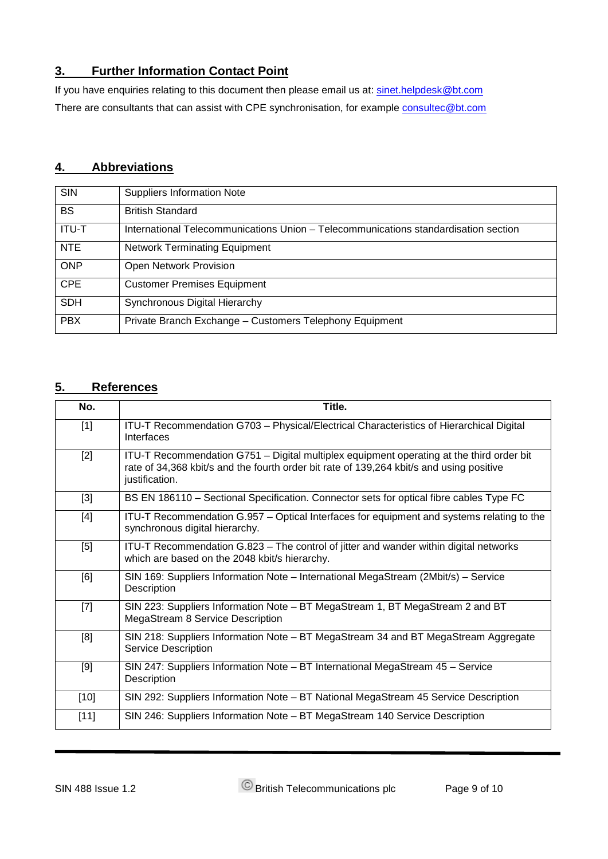## **3. Further Information Contact Point**

If you have enquiries relating to this document then please email us at: [sinet.helpdesk@bt.com](mailto:sinet.helpdesk@bt.com) There are consultants that can assist with CPE synchronisation, for example [consultec@bt.com](mailto:consultec@bt.com)

# **4. Abbreviations**

| <b>SIN</b>   | <b>Suppliers Information Note</b>                                                   |
|--------------|-------------------------------------------------------------------------------------|
| <b>BS</b>    | <b>British Standard</b>                                                             |
| <b>ITU-T</b> | International Telecommunications Union - Telecommunications standardisation section |
| <b>NTE</b>   | <b>Network Terminating Equipment</b>                                                |
| <b>ONP</b>   | Open Network Provision                                                              |
| <b>CPE</b>   | <b>Customer Premises Equipment</b>                                                  |
| <b>SDH</b>   | Synchronous Digital Hierarchy                                                       |
| <b>PBX</b>   | Private Branch Exchange - Customers Telephony Equipment                             |

#### **5. References**

| No.    | Title.                                                                                                                                                                                                 |
|--------|--------------------------------------------------------------------------------------------------------------------------------------------------------------------------------------------------------|
| $[1]$  | ITU-T Recommendation G703 - Physical/Electrical Characteristics of Hierarchical Digital<br>Interfaces                                                                                                  |
| $[2]$  | ITU-T Recommendation G751 - Digital multiplex equipment operating at the third order bit<br>rate of 34,368 kbit/s and the fourth order bit rate of 139,264 kbit/s and using positive<br>justification. |
| $[3]$  | BS EN 186110 - Sectional Specification. Connector sets for optical fibre cables Type FC                                                                                                                |
| $[4]$  | ITU-T Recommendation G.957 - Optical Interfaces for equipment and systems relating to the<br>synchronous digital hierarchy.                                                                            |
| [5]    | ITU-T Recommendation G.823 - The control of jitter and wander within digital networks<br>which are based on the 2048 kbit/s hierarchy.                                                                 |
| [6]    | SIN 169: Suppliers Information Note - International MegaStream (2Mbit/s) - Service<br>Description                                                                                                      |
| $[7]$  | SIN 223: Suppliers Information Note – BT MegaStream 1, BT MegaStream 2 and BT<br>MegaStream 8 Service Description                                                                                      |
| [8]    | SIN 218: Suppliers Information Note - BT MegaStream 34 and BT MegaStream Aggregate<br><b>Service Description</b>                                                                                       |
| $[9]$  | SIN 247: Suppliers Information Note - BT International MegaStream 45 - Service<br>Description                                                                                                          |
| $[10]$ | SIN 292: Suppliers Information Note - BT National MegaStream 45 Service Description                                                                                                                    |
| $[11]$ | SIN 246: Suppliers Information Note - BT MegaStream 140 Service Description                                                                                                                            |